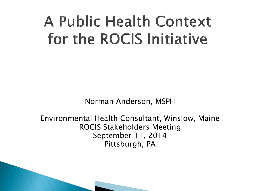## A Public Health Context for the ROCIS Initiative

Norman Anderson, MSPH

Environmental Health Consultant, Winslow, Maine ROCIS Stakeholders Meeting September 11, 2014 Pittsburgh, PA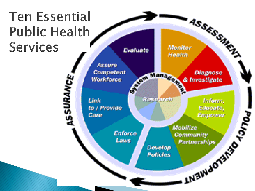#### **Ten Essential Public Health Services**

ASSESSMENT Monitor Evaluate Health **Assure** STORY Manage Competent Diagnose ASSURANCE, Workforce & Investigate **Resourch** Link taform, I.Nawagner ... ... 200 to / Provide Educate, Care Mobilize **Enforce** Community Laws Partnerships Develop **Policies**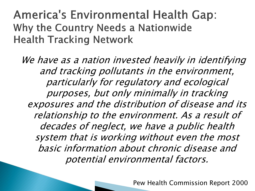**America's Environmental Health Gap:** Why the Country Needs a Nationwide **Health Tracking Network** 

We have as a nation invested heavily in identifying and tracking pollutants in the environment, particularly for regulatory and ecological purposes, but only minimally in tracking exposures and the distribution of disease and its relationship to the environment. As a result of decades of neglect, we have a public health system that is working without even the most basic information about chronic disease and potential environmental factors.

Pew Health Commission Report 2000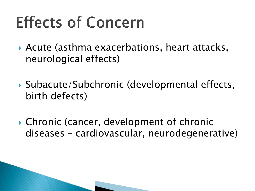# **Effects of Concern**

- Acute (asthma exacerbations, heart attacks, neurological effects)
- Subacute/Subchronic (developmental effects, birth defects)
- Chronic (cancer, development of chronic diseases – cardiovascular, neurodegenerative)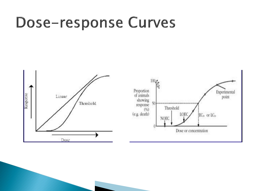#### **Dose-response Curves**

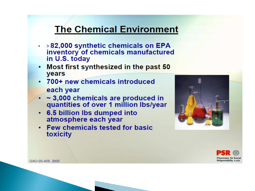#### **The Chemical Environment**

- $\cdot$  >82,000 synthetic chemicals on EPA inventory of chemicals manufactured in U.S. today
- Most first synthesized in the past 50  $\bullet$ years
- 700+ new chemicals introduced each year
- ~3,000 chemicals are produced in quantities of over 1 million lbs/year
- 6.5 billion lbs dumped into atmosphere each year
- Few chemicals tested for basic toxicity





GAO-05-458, 2005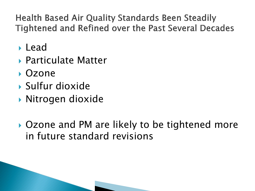**Health Based Air Quality Standards Been Steadily Tightened and Refined over the Past Several Decades** 

- Lead
- ▶ Particulate Matter
- Ozone
- Sulfur dioxide
- Nitrogen dioxide
- ▶ Ozone and PM are likely to be tightened more in future standard revisions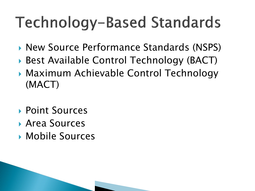# **Technology-Based Standards**

- ▶ New Source Performance Standards (NSPS)
- ▶ Best Available Control Technology (BACT)
- Maximum Achievable Control Technology (MACT)
- ▶ Point Sources
- Area Sources
- Mobile Sources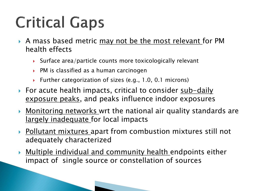# **Critical Gaps**

- A mass based metric may not be the most relevant for PM health effects
	- $\triangleright$  Surface area/particle counts more toxicologically relevant
	- ▶ PM is classified as a human carcinogen
	- Further categorization of sizes (e.g., 1.0, 0.1 microns)
- For acute health impacts, critical to consider sub-daily exposure peaks, and peaks influence indoor exposures
- **Monitoring networks wrt the national air quality standards are** largely inadequate for local impacts
- ▶ Pollutant mixtures apart from combustion mixtures still not adequately characterized
- **Multiple individual and community health endpoints either** impact of single source or constellation of sources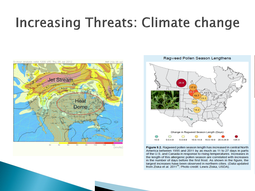#### **Increasing Threats: Climate change**





Figure 9.2. Ragweed pollen season length has increased in central North America between 1995 and 2011 by as much as 11 to 27 days in parts of the U.S. and Canada in response to rising temperatures. Increases in the length of this allergenic pollen season are correlated with increases in the number of days before the first frost. As shown in the figure, the largest increases have been observed in northern cities. (Data updated from Ziska et al. 2011<sup>19</sup>; Photo credit: Lewis Ziska, USDA).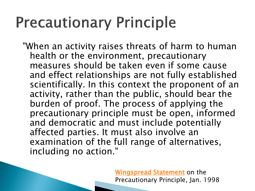### **Precautionary Principle**

"When an activity raises threats of harm to human health or the environment, precautionary measures should be taken even if some cause and effect relationships are not fully established scientifically. In this context the proponent of an activity, rather than the public, should bear the burden of proof. The process of applying the precautionary principle must be open, informed and democratic and must include potentially affected parties. It must also involve an examination of the full range of alternatives, including no action."

> [Wingspread Statement](http://www.sehn.org/wing.html) on the Precautionary Principle, Jan. 1998